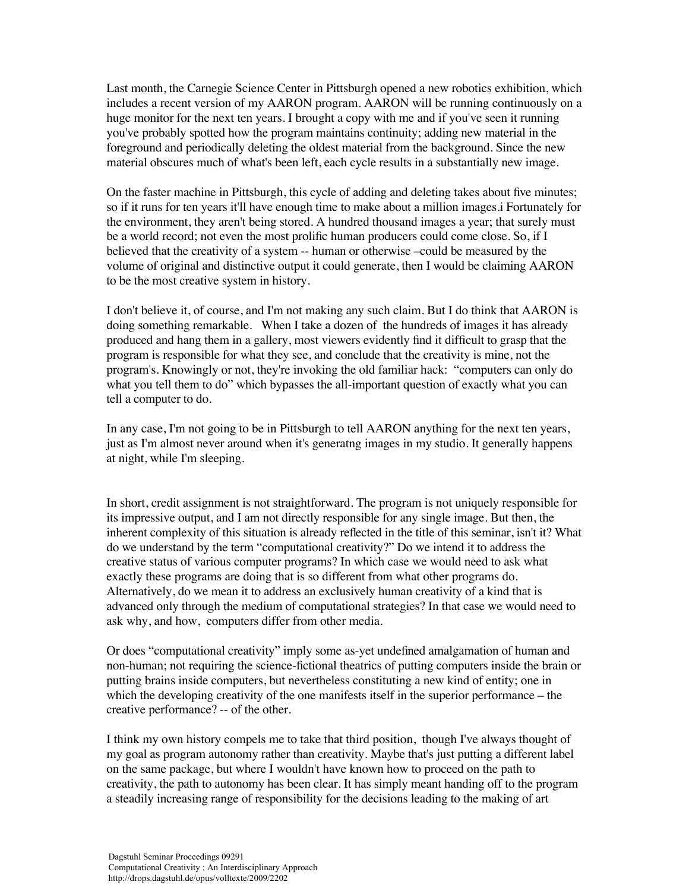Last month, the Carnegie Science Center in Pittsburgh opened a new robotics exhibition, which includes a recent version of my AARON program. AARON will be running continuously on a huge monitor for the next ten years. I brought a copy with me and if you've seen it running you've probably spotted how the program maintains continuity; adding new material in the foreground and periodically deleting the oldest material from the background. Since the new material obscures much of what's been left, each cycle results in a substantially new image.

On the faster machine in Pittsburgh, this cycle of adding and deleting takes about five minutes; so if it runs for ten years it'll have enough time to make about a million images.i Fortunately for the environment, they aren't being stored. A hundred thousand images a year; that surely must be a world record; not even the most prolific human producers could come close. So, if I believed that the creativity of a system -- human or otherwise –could be measured by the volume of original and distinctive output it could generate, then I would be claiming AARON to be the most creative system in history.

I don't believe it, of course, and I'm not making any such claim. But I do think that AARON is doing something remarkable. When I take a dozen of the hundreds of images it has already produced and hang them in a gallery, most viewers evidently find it difficult to grasp that the program is responsible for what they see, and conclude that the creativity is mine, not the program's. Knowingly or not, they're invoking the old familiar hack: "computers can only do what you tell them to do" which bypasses the all-important question of exactly what you can tell a computer to do.

In any case, I'm not going to be in Pittsburgh to tell AARON anything for the next ten years, just as I'm almost never around when it's generatng images in my studio. It generally happens at night, while I'm sleeping.

In short, credit assignment is not straightforward. The program is not uniquely responsible for its impressive output, and I am not directly responsible for any single image. But then, the inherent complexity of this situation is already reflected in the title of this seminar, isn't it? What do we understand by the term "computational creativity?" Do we intend it to address the creative status of various computer programs? In which case we would need to ask what exactly these programs are doing that is so different from what other programs do. Alternatively, do we mean it to address an exclusively human creativity of a kind that is advanced only through the medium of computational strategies? In that case we would need to ask why, and how, computers differ from other media.

Or does "computational creativity" imply some as-yet undefined amalgamation of human and non-human; not requiring the science-fictional theatrics of putting computers inside the brain or putting brains inside computers, but nevertheless constituting a new kind of entity; one in which the developing creativity of the one manifests itself in the superior performance – the creative performance? -- of the other.

I think my own history compels me to take that third position, though I've always thought of my goal as program autonomy rather than creativity. Maybe that's just putting a different label on the same package, but where I wouldn't have known how to proceed on the path to creativity, the path to autonomy has been clear. It has simply meant handing off to the program a steadily increasing range of responsibility for the decisions leading to the making of art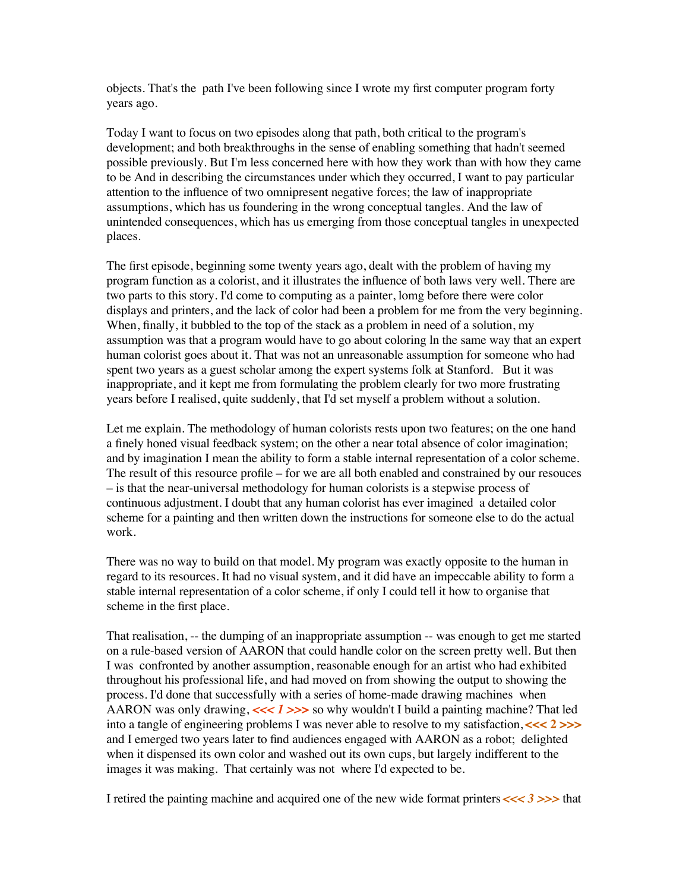objects. That's the path I've been following since I wrote my first computer program forty years ago.

Today I want to focus on two episodes along that path, both critical to the program's development; and both breakthroughs in the sense of enabling something that hadn't seemed possible previously. But I'm less concerned here with how they work than with how they came to be And in describing the circumstances under which they occurred, I want to pay particular attention to the influence of two omnipresent negative forces; the law of inappropriate assumptions, which has us foundering in the wrong conceptual tangles. And the law of unintended consequences, which has us emerging from those conceptual tangles in unexpected places.

The first episode, beginning some twenty years ago, dealt with the problem of having my program function as a colorist, and it illustrates the influence of both laws very well. There are two parts to this story. I'd come to computing as a painter, lomg before there were color displays and printers, and the lack of color had been a problem for me from the very beginning. When, finally, it bubbled to the top of the stack as a problem in need of a solution, my assumption was that a program would have to go about coloring ln the same way that an expert human colorist goes about it. That was not an unreasonable assumption for someone who had spent two years as a guest scholar among the expert systems folk at Stanford. But it was inappropriate, and it kept me from formulating the problem clearly for two more frustrating years before I realised, quite suddenly, that I'd set myself a problem without a solution.

Let me explain. The methodology of human colorists rests upon two features; on the one hand a finely honed visual feedback system; on the other a near total absence of color imagination; and by imagination I mean the ability to form a stable internal representation of a color scheme. The result of this resource profile – for we are all both enabled and constrained by our resouces – is that the near-universal methodology for human colorists is a stepwise process of continuous adjustment. I doubt that any human colorist has ever imagined a detailed color scheme for a painting and then written down the instructions for someone else to do the actual work.

There was no way to build on that model. My program was exactly opposite to the human in regard to its resources. It had no visual system, and it did have an impeccable ability to form a stable internal representation of a color scheme, if only I could tell it how to organise that scheme in the first place.

That realisation, -- the dumping of an inappropriate assumption -- was enough to get me started on a rule-based version of AARON that could handle color on the screen pretty well. But then I was confronted by another assumption, reasonable enough for an artist who had exhibited throughout his professional life, and had moved on from showing the output to showing the process. I'd done that successfully with a series of home-made drawing machines when AARON was only drawing,  $\ll$  1>>> so why wouldn't I build a painting machine? That led into a tangle of engineering problems I was never able to resolve to my satisfaction, **<<< 2 >>>** and I emerged two years later to find audiences engaged with AARON as a robot; delighted when it dispensed its own color and washed out its own cups, but largely indifferent to the images it was making. That certainly was not where I'd expected to be.

I retired the painting machine and acquired one of the new wide format printers *<<< 3 >>>* that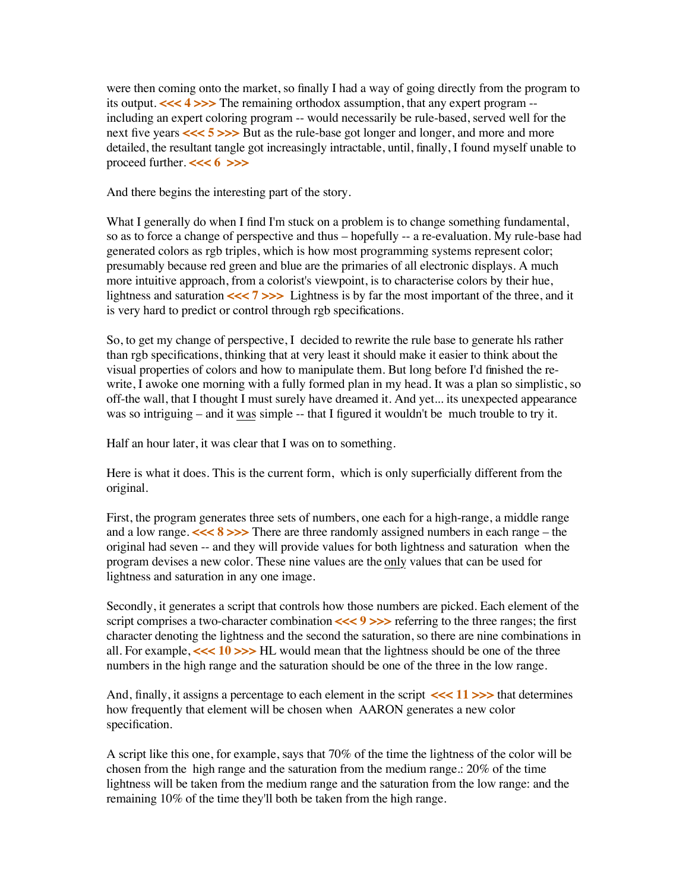were then coming onto the market, so finally I had a way of going directly from the program to its output.  $\ll\ll$  4 >>> The remaining orthodox assumption, that any expert program -including an expert coloring program -- would necessarily be rule-based, served well for the next five years  $\lt \lt \le 5 \gt \gt$  But as the rule-base got longer and longer, and more and more detailed, the resultant tangle got increasingly intractable, until, finally, I found myself unable to proceed further. **<<< 6 >>>**

And there begins the interesting part of the story.

What I generally do when I find I'm stuck on a problem is to change something fundamental, so as to force a change of perspective and thus – hopefully -- a re-evaluation. My rule-base had generated colors as rgb triples, which is how most programming systems represent color; presumably because red green and blue are the primaries of all electronic displays. A much more intuitive approach, from a colorist's viewpoint, is to characterise colors by their hue, lightness and saturation **<<< 7 >>>** Lightness is by far the most important of the three, and it is very hard to predict or control through rgb specifications.

So, to get my change of perspective, I decided to rewrite the rule base to generate hls rather than rgb specifications, thinking that at very least it should make it easier to think about the visual properties of colors and how to manipulate them. But long before I'd finished the rewrite, I awoke one morning with a fully formed plan in my head. It was a plan so simplistic, so off-the wall, that I thought I must surely have dreamed it. And yet... its unexpected appearance was so intriguing – and it was simple -- that I figured it wouldn't be much trouble to try it.

Half an hour later, it was clear that I was on to something.

Here is what it does. This is the current form, which is only superficially different from the original.

First, the program generates three sets of numbers, one each for a high-range, a middle range and a low range.  $\ll$  8 >>> There are three randomly assigned numbers in each range – the original had seven -- and they will provide values for both lightness and saturation when the program devises a new color. These nine values are the only values that can be used for lightness and saturation in any one image.

Secondly, it generates a script that controls how those numbers are picked. Each element of the script comprises a two-character combination  $\ll\lt$  9 >>> referring to the three ranges; the first character denoting the lightness and the second the saturation, so there are nine combinations in all. For example, **<<< 10 >>>** HL would mean that the lightness should be one of the three numbers in the high range and the saturation should be one of the three in the low range.

And, finally, it assigns a percentage to each element in the script  $\ll$  11 >>> that determines how frequently that element will be chosen when AARON generates a new color specification.

A script like this one, for example, says that 70% of the time the lightness of the color will be chosen from the high range and the saturation from the medium range.: 20% of the time lightness will be taken from the medium range and the saturation from the low range: and the remaining 10% of the time they'll both be taken from the high range.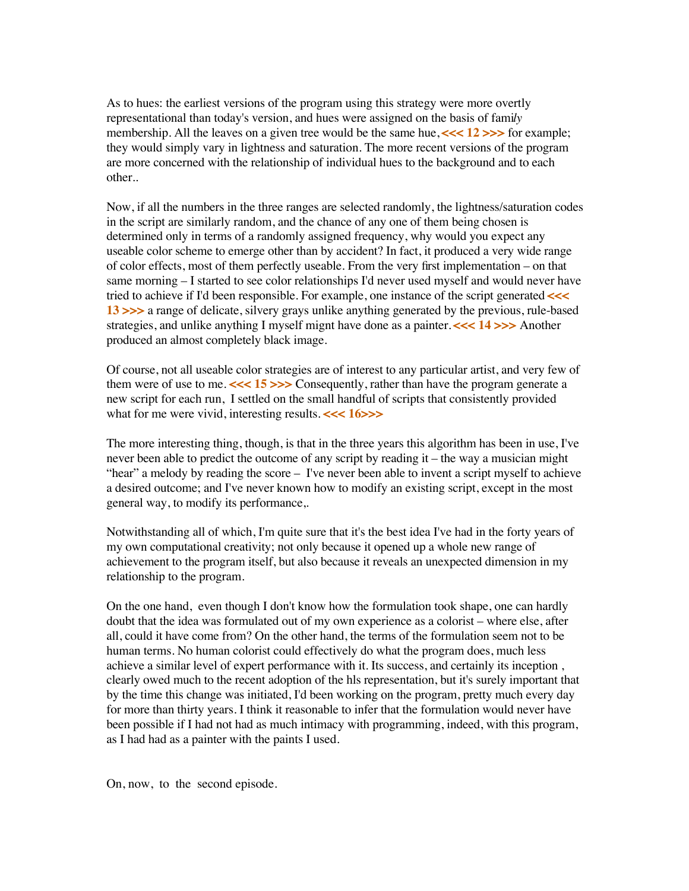As to hues: the earliest versions of the program using this strategy were more overtly representational than today's version, and hues were assigned on the basis of fami*ly*  membership. All the leaves on a given tree would be the same hue,  $\ll$  12 >>> for example; they would simply vary in lightness and saturation. The more recent versions of the program are more concerned with the relationship of individual hues to the background and to each other..

Now, if all the numbers in the three ranges are selected randomly, the lightness/saturation codes in the script are similarly random, and the chance of any one of them being chosen is determined only in terms of a randomly assigned frequency, why would you expect any useable color scheme to emerge other than by accident? In fact, it produced a very wide range of color effects, most of them perfectly useable. From the very first implementation – on that same morning – I started to see color relationships I'd never used myself and would never have tried to achieve if I'd been responsible. For example, one instance of the script generated **<<< 13 >>>** a range of delicate, silvery grays unlike anything generated by the previous, rule-based strategies, and unlike anything I myself mignt have done as a painter. **<<< 14 >>>** Another produced an almost completely black image.

Of course, not all useable color strategies are of interest to any particular artist, and very few of them were of use to me. <<< 15 >>> Consequently, rather than have the program generate a new script for each run, I settled on the small handful of scripts that consistently provided what for me were vivid, interesting results. <<<<<<<<

The more interesting thing, though, is that in the three years this algorithm has been in use, I've never been able to predict the outcome of any script by reading it – the way a musician might "hear" a melody by reading the score – I've never been able to invent a script myself to achieve a desired outcome; and I've never known how to modify an existing script, except in the most general way, to modify its performance,.

Notwithstanding all of which, I'm quite sure that it's the best idea I've had in the forty years of my own computational creativity; not only because it opened up a whole new range of achievement to the program itself, but also because it reveals an unexpected dimension in my relationship to the program.

On the one hand, even though I don't know how the formulation took shape, one can hardly doubt that the idea was formulated out of my own experience as a colorist – where else, after all, could it have come from? On the other hand, the terms of the formulation seem not to be human terms. No human colorist could effectively do what the program does, much less achieve a similar level of expert performance with it. Its success, and certainly its inception , clearly owed much to the recent adoption of the hls representation, but it's surely important that by the time this change was initiated, I'd been working on the program, pretty much every day for more than thirty years. I think it reasonable to infer that the formulation would never have been possible if I had not had as much intimacy with programming, indeed, with this program, as I had had as a painter with the paints I used.

On, now, to the second episode.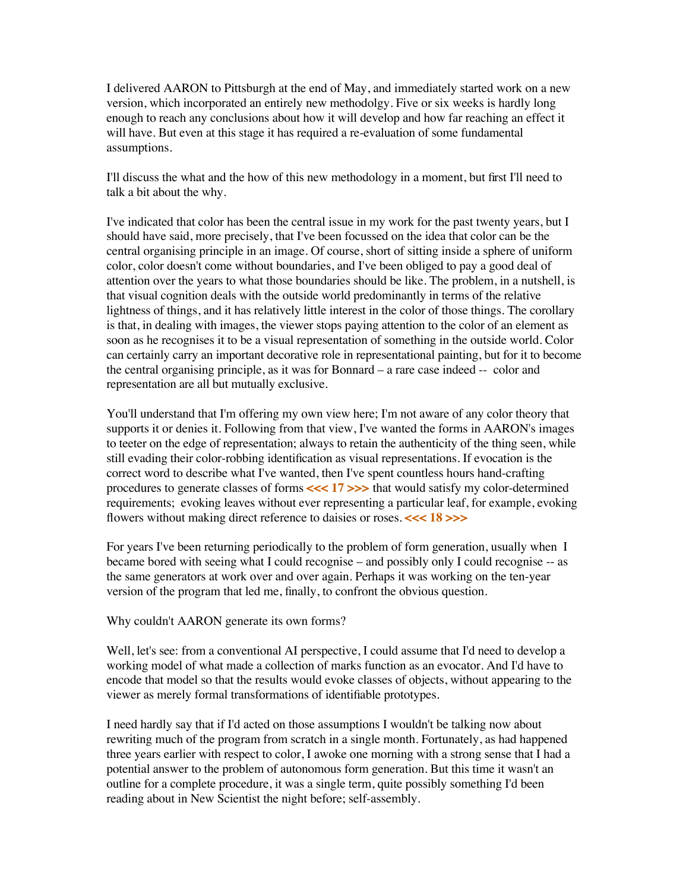I delivered AARON to Pittsburgh at the end of May, and immediately started work on a new version, which incorporated an entirely new methodolgy. Five or six weeks is hardly long enough to reach any conclusions about how it will develop and how far reaching an effect it will have. But even at this stage it has required a re-evaluation of some fundamental assumptions.

I'll discuss the what and the how of this new methodology in a moment, but first I'll need to talk a bit about the why.

I've indicated that color has been the central issue in my work for the past twenty years, but I should have said, more precisely, that I've been focussed on the idea that color can be the central organising principle in an image. Of course, short of sitting inside a sphere of uniform color, color doesn't come without boundaries, and I've been obliged to pay a good deal of attention over the years to what those boundaries should be like. The problem, in a nutshell, is that visual cognition deals with the outside world predominantly in terms of the relative lightness of things, and it has relatively little interest in the color of those things. The corollary is that, in dealing with images, the viewer stops paying attention to the color of an element as soon as he recognises it to be a visual representation of something in the outside world. Color can certainly carry an important decorative role in representational painting, but for it to become the central organising principle, as it was for Bonnard – a rare case indeed -- color and representation are all but mutually exclusive.

You'll understand that I'm offering my own view here; I'm not aware of any color theory that supports it or denies it. Following from that view, I've wanted the forms in AARON's images to teeter on the edge of representation; always to retain the authenticity of the thing seen, while still evading their color-robbing identification as visual representations. If evocation is the correct word to describe what I've wanted, then I've spent countless hours hand-crafting procedures to generate classes of forms **<<< 17 >>>** that would satisfy my color-determined requirements; evoking leaves without ever representing a particular leaf, for example, evoking flowers without making direct reference to daisies or roses. **<<< 18 >>>**

For years I've been returning periodically to the problem of form generation, usually when I became bored with seeing what I could recognise – and possibly only I could recognise -- as the same generators at work over and over again. Perhaps it was working on the ten-year version of the program that led me, finally, to confront the obvious question.

## Why couldn't AARON generate its own forms?

Well, let's see: from a conventional AI perspective, I could assume that I'd need to develop a working model of what made a collection of marks function as an evocator. And I'd have to encode that model so that the results would evoke classes of objects, without appearing to the viewer as merely formal transformations of identifiable prototypes.

I need hardly say that if I'd acted on those assumptions I wouldn't be talking now about rewriting much of the program from scratch in a single month. Fortunately, as had happened three years earlier with respect to color, I awoke one morning with a strong sense that I had a potential answer to the problem of autonomous form generation. But this time it wasn't an outline for a complete procedure, it was a single term, quite possibly something I'd been reading about in New Scientist the night before; self-assembly.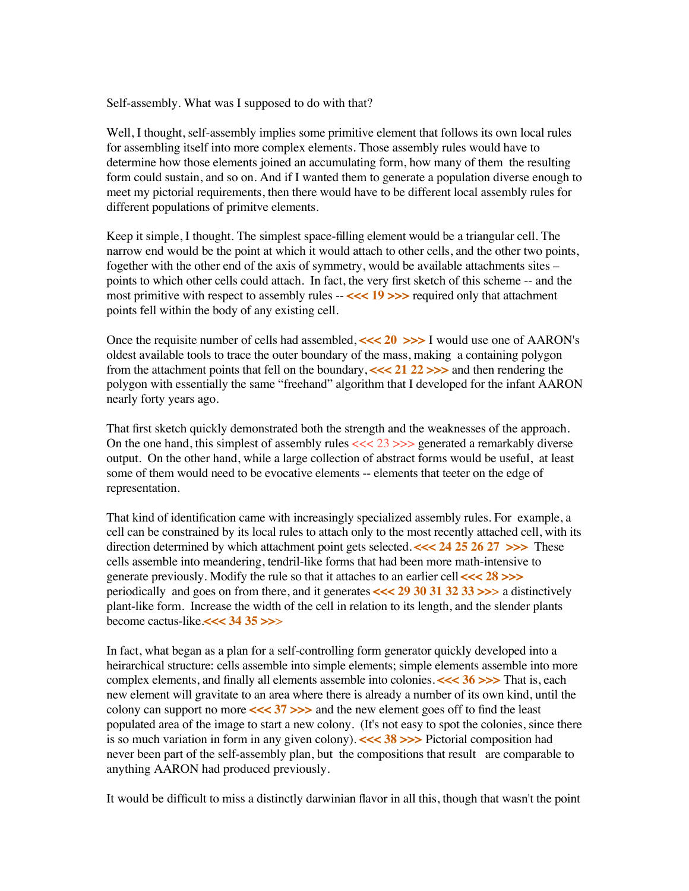Self-assembly. What was I supposed to do with that?

Well, I thought, self-assembly implies some primitive element that follows its own local rules for assembling itself into more complex elements. Those assembly rules would have to determine how those elements joined an accumulating form, how many of them the resulting form could sustain, and so on. And if I wanted them to generate a population diverse enough to meet my pictorial requirements, then there would have to be different local assembly rules for different populations of primitve elements.

Keep it simple, I thought. The simplest space-filling element would be a triangular cell. The narrow end would be the point at which it would attach to other cells, and the other two points, fogether with the other end of the axis of symmetry, would be available attachments sites – points to which other cells could attach. In fact, the very first sketch of this scheme -- and the most primitive with respect to assembly rules  $-\ll\lt\ll$  19 $\gg\gt$  required only that attachment points fell within the body of any existing cell.

Once the requisite number of cells had assembled, **<<< 20 >>>** I would use one of AARON's oldest available tools to trace the outer boundary of the mass, making a containing polygon from the attachment points that fell on the boundary, **<<< 21 22 >>>** and then rendering the polygon with essentially the same "freehand" algorithm that I developed for the infant AARON nearly forty years ago.

That first sketch quickly demonstrated both the strength and the weaknesses of the approach. On the one hand, this simplest of assembly rules  $\ll$  23 >>> generated a remarkably diverse output. On the other hand, while a large collection of abstract forms would be useful, at least some of them would need to be evocative elements -- elements that teeter on the edge of representation.

That kind of identification came with increasingly specialized assembly rules. For example, a cell can be constrained by its local rules to attach only to the most recently attached cell, with its direction determined by which attachment point gets selected. **<<< 24 25 26 27 >>>** These cells assemble into meandering, tendril-like forms that had been more math-intensive to generate previously. Modify the rule so that it attaches to an earlier cell **<<< 28 >>>**  periodically and goes on from there, and it generates **<<< 29 30 31 32 33 >>**> a distinctively plant-like form. Increase the width of the cell in relation to its length, and the slender plants become cactus-like.**<<< 34 35 >>**>

In fact, what began as a plan for a self-controlling form generator quickly developed into a heirarchical structure: cells assemble into simple elements; simple elements assemble into more complex elements, and finally all elements assemble into colonies. <<< 36 >>>>>>> That is, each new element will gravitate to an area where there is already a number of its own kind, until the colony can support no more  $\ll\ll$  37 >>> and the new element goes off to find the least populated area of the image to start a new colony. (It's not easy to spot the colonies, since there is so much variation in form in any given colony). **<<< 38 >>>** Pictorial composition had never been part of the self-assembly plan, but the compositions that result are comparable to anything AARON had produced previously.

It would be difficult to miss a distinctly darwinian flavor in all this, though that wasn't the point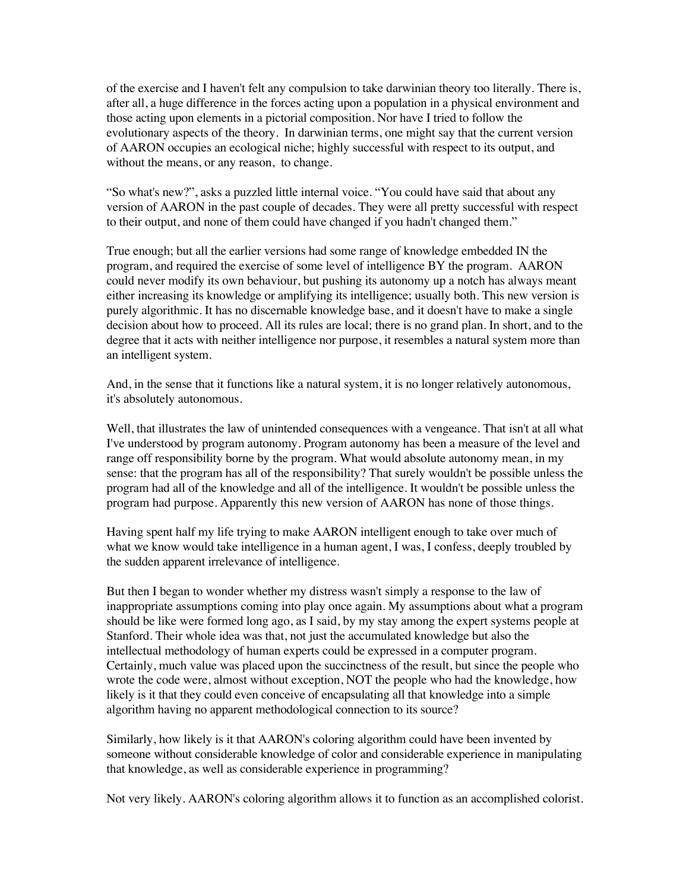of the exercise and I haven't felt any compulsion to take darwinian theory too literally. There is, after all, a huge difference in the forces acting upon a population in a physical environment and those acting upon elements in a pictorial composition. Nor have I tried to follow the evolutionary aspects of the theory. In darwinian terms, one might say that the current version of AARON occupies an ecological niche; highly successful with respect to its output, and without the means, or any reason, to change.

"So what's new?", asks a puzzled little internal voice. "You could have said that about any version of AARON in the past couple of decades. They were all pretty successful with respect to their output, and none of them could have changed if you hadn't changed them."

True enough; but all the earlier versions had some range of knowledge embedded IN the program, and required the exercise of some level of intelligence BY the program. AARON could never modify its own behaviour, but pushing its autonomy up a notch has always meant either increasing its knowledge or amplifying its intelligence; usually both. This new version is purely algorithmic. It has no discernable knowledge base, and it doesn't have to make a single decision about how to proceed. All its rules are local; there is no grand plan. In short, and to the degree that it acts with neither intelligence nor purpose, it resembles a natural system more than an intelligent system.

And, in the sense that it functions like a natural system, it is no longer relatively autonomous, it's absolutely autonomous.

Well, that illustrates the law of unintended consequences with a vengeance. That isn't at all what I've understood by program autonomy. Program autonomy has been a measure of the level and range off responsibility borne by the program. What would absolute autonomy mean, in my sense: that the program has all of the responsibility? That surely wouldn't be possible unless the program had all of the knowledge and all of the intelligence. It wouldn't be possible unless the program had purpose. Apparently this new version of AARON has none of those things.

Having spent half my life trying to make AARON intelligent enough to take over much of what we know would take intelligence in a human agent, I was, I confess, deeply troubled by the sudden apparent irrelevance of intelligence.

But then I began to wonder whether my distress wasn't simply a response to the law of inappropriate assumptions coming into play once again. My assumptions about what a program should be like were formed long ago, as I said, by my stay among the expert systems people at Stanford. Their whole idea was that, not just the accumulated knowledge but also the intellectual methodology of human experts could be expressed in a computer program. Certainly, much value was placed upon the succinctness of the result, but since the people who wrote the code were, almost without exception, NOT the people who had the knowledge, how likely is it that they could even conceive of encapsulating all that knowledge into a simple algorithm having no apparent methodological connection to its source?

Similarly, how likely is it that AARON's coloring algorithm could have been invented by someone without considerable knowledge of color and considerable experience in manipulating that knowledge, as well as considerable experience in programming?

Not very likely. AARON's coloring algorithm allows it to function as an accomplished colorist.